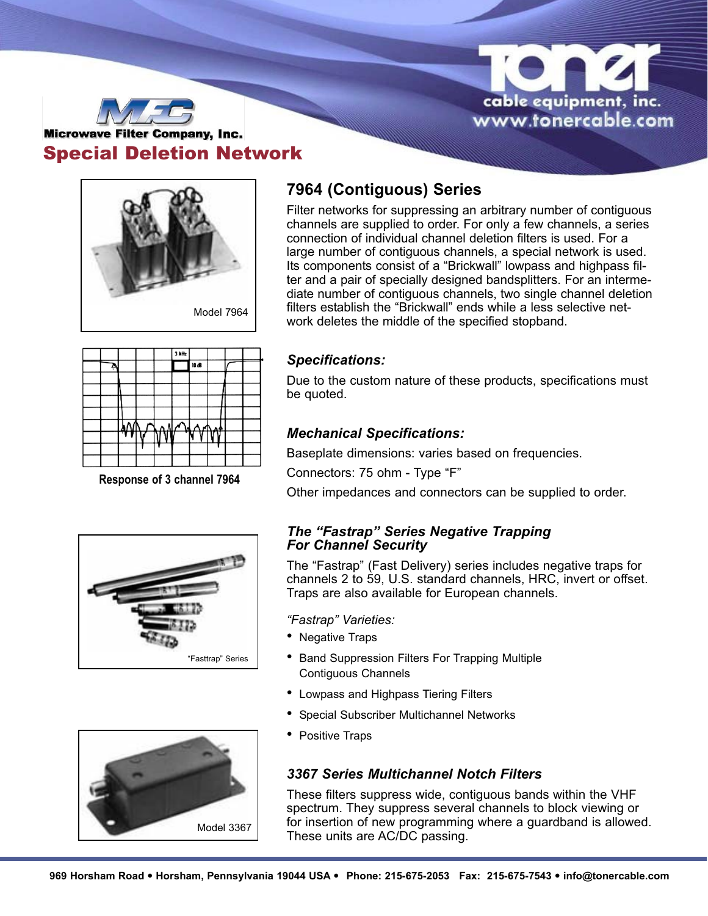



# **Microwave Filter Company, Inc.** Special Deletion Network



# **7964 (Contiguous) Series**

Filter networks for suppressing an arbitrary number of contiguous channels are supplied to order. For only a few channels, a series connection of individual channel deletion filters is used. For a large number of contiguous channels, a special network is used. Its components consist of a "Brickwall" lowpass and highpass filter and a pair of specially designed bandsplitters. For an intermediate number of contiguous channels, two single channel deletion filters establish the "Brickwall" ends while a less selective network deletes the middle of the specified stopband.



**Response of 3 channel 7964**





## *Specifications:*

Due to the custom nature of these products, specifications must be quoted.

## *Mechanical Specifications:*

Baseplate dimensions: varies based on frequencies.

Connectors: 75 ohm - Type "F"

Other impedances and connectors can be supplied to order.

### *The "Fastrap" Series Negative Trapping For Channel Security*

The "Fastrap" (Fast Delivery) series includes negative traps for channels 2 to 59, U.S. standard channels, HRC, invert or offset. Traps are also available for European channels.

*"Fastrap" Varieties:*

- Negative Traps
- Band Suppression Filters For Trapping Multiple Contiguous Channels
- Lowpass and Highpass Tiering Filters
- Special Subscriber Multichannel Networks
- Positive Traps

## *3367 Series Multichannel Notch Filters*

These filters suppress wide, contiguous bands within the VHF spectrum. They suppress several channels to block viewing or for insertion of new programming where a guardband is allowed. These units are AC/DC passing.